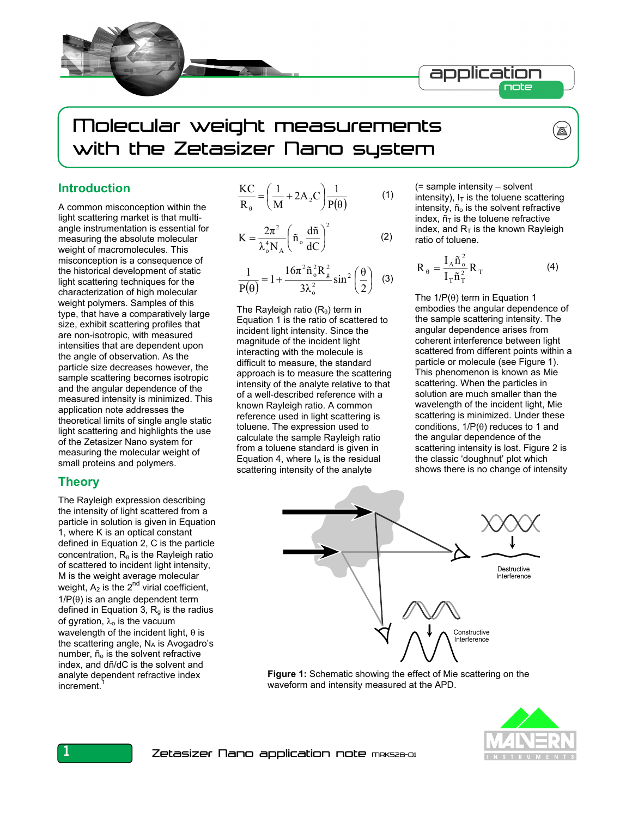

# Molecular weight measurements with the Zetasizer Nano system

#### **Introduction**

A common misconception within the light scattering market is that multiangle instrumentation is essential for measuring the absolute molecular weight of macromolecules. This misconception is a consequence of the historical development of static light scattering techniques for the characterization of high molecular weight polymers. Samples of this type, that have a comparatively large size, exhibit scattering profiles that are non-isotropic, with measured intensities that are dependent upon the angle of observation. As the particle size decreases however, the sample scattering becomes isotropic and the angular dependence of the measured intensity is minimized. This application note addresses the theoretical limits of single angle static light scattering and highlights the use of the Zetasizer Nano system for measuring the molecular weight of small proteins and polymers.

#### **Theory**

The Rayleigh expression describing the intensity of light scattered from a particle in solution is given in Equation 1, where K is an optical constant defined in Equation 2, C is the particle concentration,  $R_{\theta}$  is the Rayleigh ratio of scattered to incident light intensity, M is the weight average molecular weight,  $A_2$  is the  $2^{nd}$  virial coefficient,  $1/P(\theta)$  is an angle dependent term defined in Equation 3,  $R_q$  is the radius of gyration,  $λ_0$  is the vacuum wavelength of the incident light,  $\theta$  is the scattering angle,  $N_A$  is Avogadro's number,  $\tilde{n}_0$  is the solvent refractive index, and dñ/dC is the solvent and analyte dependent refractive index increment.

$$
\frac{KC}{R_{\theta}} = \left(\frac{1}{M} + 2A_2C\right)\frac{1}{P(\theta)}
$$
 (1)

$$
K = \frac{2\pi^2}{\lambda_o^4 N_A} \left( \tilde{n}_o \frac{d\tilde{n}}{dC} \right)^2
$$
 (2)

$$
\frac{1}{P(\theta)} = 1 + \frac{16\pi^2 \tilde{n}_o^2 R_g^2}{3\lambda_o^2} \sin^2\left(\frac{\theta}{2}\right)
$$
 (3)

The Rayleigh ratio  $(R_{\theta})$  term in Equation 1 is the ratio of scattered to incident light intensity. Since the magnitude of the incident light interacting with the molecule is difficult to measure, the standard approach is to measure the scattering intensity of the analyte relative to that of a well-described reference with a known Rayleigh ratio. A common reference used in light scattering is toluene. The expression used to calculate the sample Rayleigh ratio from a toluene standard is given in Equation 4, where  $I_A$  is the residual scattering intensity of the analyte

(= sample intensity – solvent intensity),  $I_T$  is the toluene scattering intensity, ñ<sub>o</sub> is the solvent refractive index,  $ñ<sub>T</sub>$  is the toluene refractive index, and  $R<sub>T</sub>$  is the known Rayleigh ratio of toluene.

 $\overline{\mathbb{A}}$ 

$$
R_{\theta} = \frac{I_A \tilde{n}_{o}^2}{I_T \tilde{n}_T^2} R_T
$$
 (4)

The  $1/P(\theta)$  term in Equation 1 embodies the angular dependence of the sample scattering intensity. The angular dependence arises from coherent interference between light scattered from different points within a particle or molecule (see Figure 1). This phenomenon is known as Mie scattering. When the particles in solution are much smaller than the wavelength of the incident light, Mie scattering is minimized. Under these conditions,  $1/P(\theta)$  reduces to 1 and the angular dependence of the scattering intensity is lost. Figure 2 is the classic 'doughnut' plot which shows there is no change of intensity



**Figure 1:** Schematic showing the effect of Mie scattering on the waveform and intensity measured at the APD.

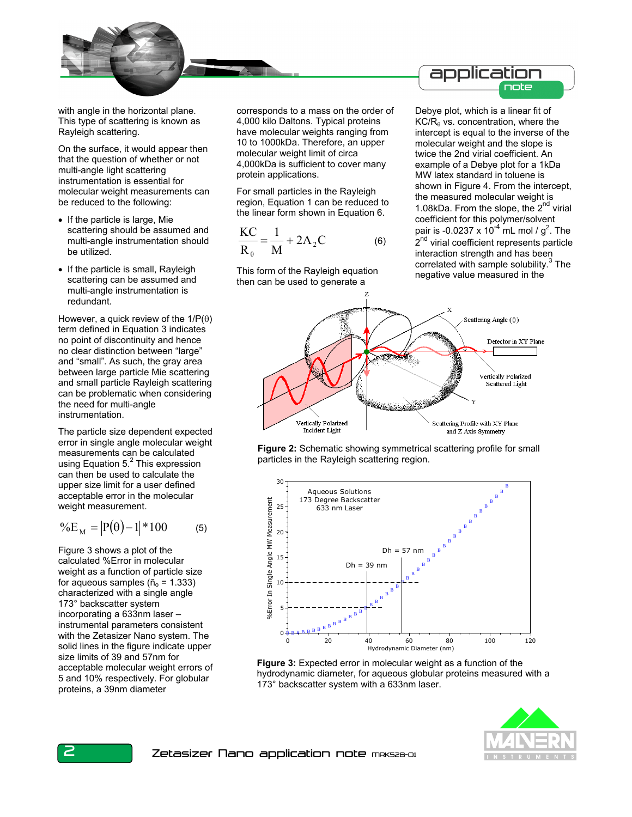with angle in the horizontal plane. This type of scattering is known as Rayleigh scattering.

On the surface, it would appear then that the question of whether or not multi-angle light scattering instrumentation is essential for molecular weight measurements can be reduced to the following:

- If the particle is large, Mie scattering should be assumed and multi-angle instrumentation should be utilized.
- If the particle is small, Rayleigh scattering can be assumed and multi-angle instrumentation is redundant.

However, a quick review of the  $1/P(\theta)$ term defined in Equation 3 indicates no point of discontinuity and hence no clear distinction between "large" and "small". As such, the gray area between large particle Mie scattering and small particle Rayleigh scattering can be problematic when considering the need for multi-angle instrumentation.

The particle size dependent expected error in single angle molecular weight measurements can be calculated using Equation 5.<sup>2</sup> This expression can then be used to calculate the upper size limit for a user defined acceptable error in the molecular weight measurement.

$$
\%E_M = |P(\theta) - 1| * 100 \tag{5}
$$

Figure 3 shows a plot of the calculated %Error in molecular weight as a function of particle size for aqueous samples ( $\tilde{n}_o$  = 1.333) characterized with a single angle 173° backscatter system incorporating a 633nm laser – instrumental parameters consistent with the Zetasizer Nano system. The solid lines in the figure indicate upper size limits of 39 and 57nm for acceptable molecular weight errors of 5 and 10% respectively. For globular proteins, a 39nm diameter

corresponds to a mass on the order of 4,000 kilo Daltons. Typical proteins have molecular weights ranging from 10 to 1000kDa. Therefore, an upper molecular weight limit of circa 4,000kDa is sufficient to cover many protein applications.

For small particles in the Rayleigh region, Equation 1 can be reduced to the linear form shown in Equation 6.

$$
\frac{KC}{R_{\theta}} = \frac{1}{M} + 2A_2C
$$
 (6)

This form of the Rayleigh equation then can be used to generate a

application note

Debye plot, which is a linear fit of  $KC/R<sub>θ</sub>$  vs. concentration, where the intercept is equal to the inverse of the molecular weight and the slope is twice the 2nd virial coefficient. An example of a Debye plot for a 1kDa MW latex standard in toluene is shown in Figure 4. From the intercept, the measured molecular weight is 1.08kDa. From the slope, the  $2^{nd}$  virial coefficient for this polymer/solvent pair is -0.0237 x 10<sup>-4</sup> mL mol /  $g^2$ . The 2<sup>nd</sup> virial coefficient represents particle interaction strength and has been correlated with sample solubility. $3$  The negative value measured in the







**Figure 3:** Expected error in molecular weight as a function of the hydrodynamic diameter, for aqueous globular proteins measured with a 173° backscatter system with a 633nm laser.

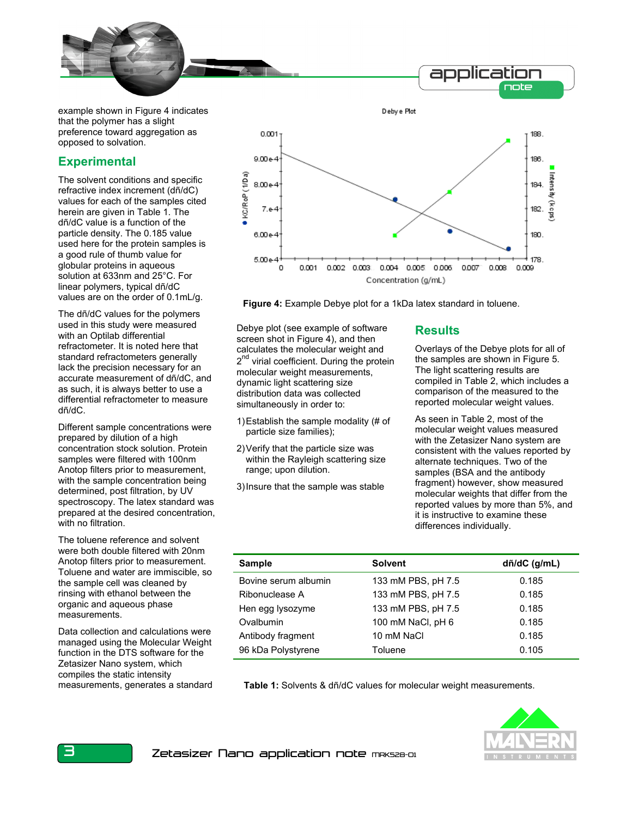

example shown in Figure 4 indicates that the polymer has a slight preference toward aggregation as opposed to solvation.

# **Experimental**

The solvent conditions and specific refractive index increment (dñ/dC) values for each of the samples cited herein are given in Table 1. The dñ/dC value is a function of the particle density. The 0.185 value used here for the protein samples is a good rule of thumb value for globular proteins in aqueous solution at 633nm and 25°C. For linear polymers, typical dñ/dC values are on the order of 0.1mL/g.

The dñ/dC values for the polymers used in this study were measured with an Optilab differential refractometer. It is noted here that standard refractometers generally lack the precision necessary for an accurate measurement of dñ/dC, and as such, it is always better to use a differential refractometer to measure dñ/dC.

Different sample concentrations were prepared by dilution of a high concentration stock solution. Protein samples were filtered with 100nm Anotop filters prior to measurement, with the sample concentration being determined, post filtration, by UV spectroscopy. The latex standard was prepared at the desired concentration, with no filtration.

The toluene reference and solvent were both double filtered with 20nm Anotop filters prior to measurement. Toluene and water are immiscible, so the sample cell was cleaned by rinsing with ethanol between the organic and aqueous phase measurements.

Data collection and calculations were managed using the Molecular Weight function in the DTS software for the Zetasizer Nano system, which compiles the static intensity measurements, generates a standard



**Figure 4:** Example Debye plot for a 1kDa latex standard in toluene.

Debye plot (see example of software screen shot in Figure 4), and then calculates the molecular weight and 2<sup>nd</sup> virial coefficient. During the protein molecular weight measurements, dynamic light scattering size distribution data was collected simultaneously in order to:

- 1) Establish the sample modality (# of particle size families);
- 2) Verify that the particle size was within the Rayleigh scattering size range; upon dilution.

3) Insure that the sample was stable

### **Results**

Overlays of the Debye plots for all of the samples are shown in Figure 5. The light scattering results are compiled in Table 2, which includes a comparison of the measured to the reported molecular weight values.

As seen in Table 2, most of the molecular weight values measured with the Zetasizer Nano system are consistent with the values reported by alternate techniques. Two of the samples (BSA and the antibody fragment) however, show measured molecular weights that differ from the reported values by more than 5%, and it is instructive to examine these differences individually.

| <b>Sample</b>        | <b>Solvent</b>     | $d\tilde{n}/dC$ (g/mL) |
|----------------------|--------------------|------------------------|
| Bovine serum albumin | 133 mM PBS, pH 7.5 | 0.185                  |
| Ribonuclease A       | 133 mM PBS, pH 7.5 | 0.185                  |
| Hen egg lysozyme     | 133 mM PBS, pH 7.5 | 0.185                  |
| Ovalbumin            | 100 mM NaCl, pH 6  | 0.185                  |
| Antibody fragment    | 10 mM NaCl         | 0.185                  |
| 96 kDa Polystyrene   | Toluene            | 0.105                  |

**Table 1:** Solvents & dñ/dC values for molecular weight measurements.

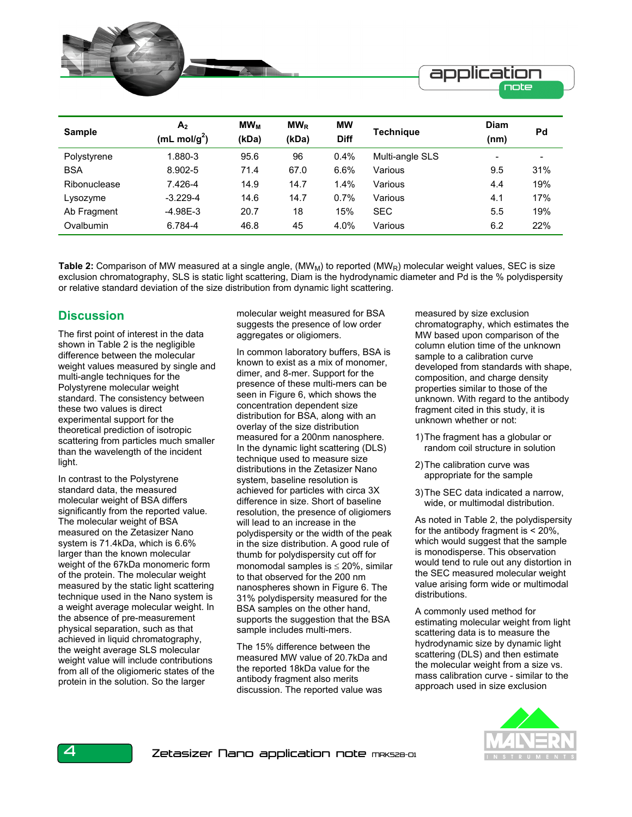

| <b>Sample</b> | A <sub>2</sub>   | <b>MW<sub>M</sub></b> | $MW_{R}$ | <b>MW</b>   | <b>Technique</b> | <b>Diam</b>              | Pd                       |
|---------------|------------------|-----------------------|----------|-------------|------------------|--------------------------|--------------------------|
|               | (mL mol/ $g^2$ ) | (kDa)                 | (kDa)    | <b>Diff</b> |                  | (nm)                     |                          |
| Polystyrene   | .880-3           | 95.6                  | 96       | 0.4%        | Multi-angle SLS  | $\overline{\phantom{0}}$ | $\overline{\phantom{0}}$ |
| <b>BSA</b>    | 8.902-5          | 71.4                  | 67.0     | 6.6%        | Various          | 9.5                      | 31%                      |
| Ribonuclease  | 7.426-4          | 14.9                  | 14.7     | 1.4%        | Various          | 4.4                      | 19%                      |
| Lysozyme      | $-3.229 - 4$     | 14.6                  | 14.7     | 0.7%        | Various          | 4.1                      | 17%                      |
| Ab Fragment   | $-4.98E-3$       | 20.7                  | 18       | 15%         | <b>SEC</b>       | 5.5                      | 19%                      |
| Ovalbumin     | 6.784-4          | 46.8                  | 45       | 4.0%        | Various          | 6.2                      | 22%                      |

Table 2: Comparison of MW measured at a single angle, (MW<sub>M</sub>) to reported (MW<sub>R</sub>) molecular weight values, SEC is size exclusion chromatography, SLS is static light scattering, Diam is the hydrodynamic diameter and Pd is the % polydispersity or relative standard deviation of the size distribution from dynamic light scattering.

## **Discussion**

The first point of interest in the data shown in Table 2 is the negligible difference between the molecular weight values measured by single and multi-angle techniques for the Polystyrene molecular weight standard. The consistency between these two values is direct experimental support for the theoretical prediction of isotropic scattering from particles much smaller than the wavelength of the incident light.

In contrast to the Polystyrene standard data, the measured molecular weight of BSA differs significantly from the reported value. The molecular weight of BSA measured on the Zetasizer Nano system is 71.4kDa, which is 6.6% larger than the known molecular weight of the 67kDa monomeric form of the protein. The molecular weight measured by the static light scattering technique used in the Nano system is a weight average molecular weight. In the absence of pre-measurement physical separation, such as that achieved in liquid chromatography, the weight average SLS molecular weight value will include contributions from all of the oligiomeric states of the protein in the solution. So the larger

molecular weight measured for BSA suggests the presence of low order aggregates or oligiomers.

In common laboratory buffers, BSA is known to exist as a mix of monomer, dimer, and 8-mer. Support for the presence of these multi-mers can be seen in Figure 6, which shows the concentration dependent size distribution for BSA, along with an overlay of the size distribution measured for a 200nm nanosphere. In the dynamic light scattering (DLS) technique used to measure size distributions in the Zetasizer Nano system, baseline resolution is achieved for particles with circa 3X difference in size. Short of baseline resolution, the presence of oligiomers will lead to an increase in the polydispersity or the width of the peak in the size distribution. A good rule of thumb for polydispersity cut off for monomodal samples is  $\leq$  20%, similar to that observed for the 200 nm nanospheres shown in Figure 6. The 31% polydispersity measured for the BSA samples on the other hand, supports the suggestion that the BSA sample includes multi-mers.

The 15% difference between the measured MW value of 20.7kDa and the reported 18kDa value for the antibody fragment also merits discussion. The reported value was

measured by size exclusion chromatography, which estimates the MW based upon comparison of the column elution time of the unknown sample to a calibration curve developed from standards with shape, composition, and charge density properties similar to those of the unknown. With regard to the antibody fragment cited in this study, it is unknown whether or not:

- 1) The fragment has a globular or random coil structure in solution
- 2) The calibration curve was appropriate for the sample
- 3) The SEC data indicated a narrow, wide, or multimodal distribution.

As noted in Table 2, the polydispersity for the antibody fragment is < 20%, which would suggest that the sample is monodisperse. This observation would tend to rule out any distortion in the SEC measured molecular weight value arising form wide or multimodal distributions.

A commonly used method for estimating molecular weight from light scattering data is to measure the hydrodynamic size by dynamic light scattering (DLS) and then estimate the molecular weight from a size vs. mass calibration curve - similar to the approach used in size exclusion

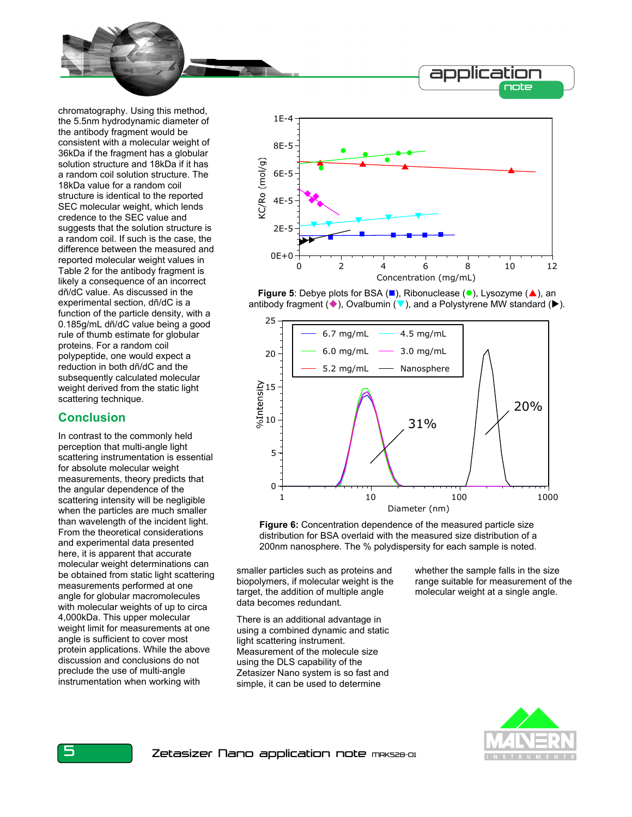

chromatography. Using this method, the 5.5nm hydrodynamic diameter of the antibody fragment would be consistent with a molecular weight of 36kDa if the fragment has a globular solution structure and 18kDa if it has a random coil solution structure. The 18kDa value for a random coil structure is identical to the reported SEC molecular weight, which lends credence to the SEC value and suggests that the solution structure is a random coil. If such is the case, the difference between the measured and reported molecular weight values in Table 2 for the antibody fragment is likely a consequence of an incorrect dñ/dC value. As discussed in the experimental section, dñ/dC is a function of the particle density, with a 0.185g/mL dñ/dC value being a good rule of thumb estimate for globular proteins. For a random coil polypeptide, one would expect a reduction in both dñ/dC and the subsequently calculated molecular weight derived from the static light scattering technique.

## **Conclusion**

In contrast to the commonly held perception that multi-angle light scattering instrumentation is essential for absolute molecular weight measurements, theory predicts that the angular dependence of the scattering intensity will be negligible when the particles are much smaller than wavelength of the incident light. From the theoretical considerations and experimental data presented here, it is apparent that accurate molecular weight determinations can be obtained from static light scattering measurements performed at one angle for globular macromolecules with molecular weights of up to circa 4,000kDa. This upper molecular weight limit for measurements at one angle is sufficient to cover most protein applications. While the above discussion and conclusions do not preclude the use of multi-angle instrumentation when working with







**Figure 6:** Concentration dependence of the measured particle size distribution for BSA overlaid with the measured size distribution of a 200nm nanosphere. The % polydispersity for each sample is noted.

smaller particles such as proteins and biopolymers, if molecular weight is the target, the addition of multiple angle data becomes redundant.

There is an additional advantage in using a combined dynamic and static light scattering instrument. Measurement of the molecule size using the DLS capability of the Zetasizer Nano system is so fast and simple, it can be used to determine

whether the sample falls in the size range suitable for measurement of the molecular weight at a single angle.